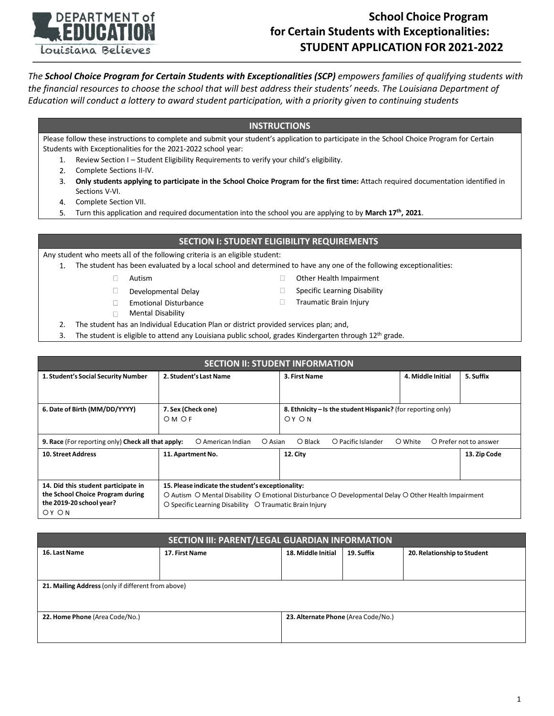

## **School Choice Program for Certain Students with Exceptionalities: STUDENT APPLICATION FOR 2021-2022**

*The School Choice Program for Certain Students with Exceptionalities (SCP) empowers families of qualifying students with the financial resources to choose the school that will best address their students' needs. The Louisiana Department of Education will conduct a lottery to award student participation, with a priority given to continuing students*

### **INSTRUCTIONS**

Please follow these instructions to complete and submit your student's application to participate in the School Choice Program for Certain Students with Exceptionalities for the 2021-2022 school year:

- 1. Review Section I Student Eligibility Requirements to verify your child's eligibility.
- 2. Complete Sections II-IV.
- $3.$ **Only students applying to participate in the School Choice Program for the first time:** Attach required documentation identified in Sections V-VI.
- 4. Complete Section VII.
- Turn this application and required documentation into the school you are applying to by **March 17th, 2021**. 5.

### **SECTION I: STUDENT ELIGIBILITY REQUIREMENTS**

Any student who meets all of the following criteria is an eligible student:

- The student has been evaluated by a local school and determined to have any one of the following exceptionalities:
	- $\Box$ Autism **COLLECT CONTENT CONTENT** Other Health Impairment
	- Developmental Delay **Specific Learning Disability** Developmental Delay  $\Box$
	- $\Box$
	- Mental Disability  $\Box$
- 
- Emotional Disturbance Traumatic Brain Injury
- 2. The student has an Individual Education Plan or district provided services plan; and,
- 3. The student is eligible to attend any Louisiana public school, grades Kindergarten through  $12<sup>th</sup>$  grade.

| <b>SECTION II: STUDENT INFORMATION</b>                                                                                                                     |                                                                                                      |                                                              |  |              |  |  |  |  |
|------------------------------------------------------------------------------------------------------------------------------------------------------------|------------------------------------------------------------------------------------------------------|--------------------------------------------------------------|--|--------------|--|--|--|--|
| 1. Student's Social Security Number                                                                                                                        | 2. Student's Last Name                                                                               | 4. Middle Initial<br>3. First Name                           |  | 5. Suffix    |  |  |  |  |
|                                                                                                                                                            |                                                                                                      |                                                              |  |              |  |  |  |  |
| 6. Date of Birth (MM/DD/YYYY)                                                                                                                              | 7. Sex (Check one)                                                                                   | 8. Ethnicity – Is the student Hispanic? (for reporting only) |  |              |  |  |  |  |
|                                                                                                                                                            | OM OF                                                                                                | OY ON                                                        |  |              |  |  |  |  |
|                                                                                                                                                            |                                                                                                      |                                                              |  |              |  |  |  |  |
| O Prefer not to answer<br>9. Race (For reporting only) Check all that apply:<br>$O$ Black<br>O Pacific Islander<br>O White<br>O American Indian<br>O Asian |                                                                                                      |                                                              |  |              |  |  |  |  |
| <b>10. Street Address</b>                                                                                                                                  | 11. Apartment No.                                                                                    | 12. City                                                     |  | 13. Zip Code |  |  |  |  |
|                                                                                                                                                            |                                                                                                      |                                                              |  |              |  |  |  |  |
|                                                                                                                                                            |                                                                                                      |                                                              |  |              |  |  |  |  |
| 14. Did this student participate in                                                                                                                        | 15. Please indicate the student's exceptionality:                                                    |                                                              |  |              |  |  |  |  |
| the School Choice Program during                                                                                                                           | O Autism O Mental Disability O Emotional Disturbance O Developmental Delay O Other Health Impairment |                                                              |  |              |  |  |  |  |
| the 2019-20 school year?                                                                                                                                   | O Specific Learning Disability O Traumatic Brain Injury                                              |                                                              |  |              |  |  |  |  |
| OY ON                                                                                                                                                      |                                                                                                      |                                                              |  |              |  |  |  |  |

| SECTION III: PARENT/LEGAL GUARDIAN INFORMATION     |                |                                     |            |                             |  |  |  |  |
|----------------------------------------------------|----------------|-------------------------------------|------------|-----------------------------|--|--|--|--|
| 16. Last Name                                      | 17. First Name | 18. Middle Initial                  | 19. Suffix | 20. Relationship to Student |  |  |  |  |
|                                                    |                |                                     |            |                             |  |  |  |  |
|                                                    |                |                                     |            |                             |  |  |  |  |
| 21. Mailing Address (only if different from above) |                |                                     |            |                             |  |  |  |  |
|                                                    |                |                                     |            |                             |  |  |  |  |
| 22. Home Phone (Area Code/No.)                     |                | 23. Alternate Phone (Area Code/No.) |            |                             |  |  |  |  |
|                                                    |                |                                     |            |                             |  |  |  |  |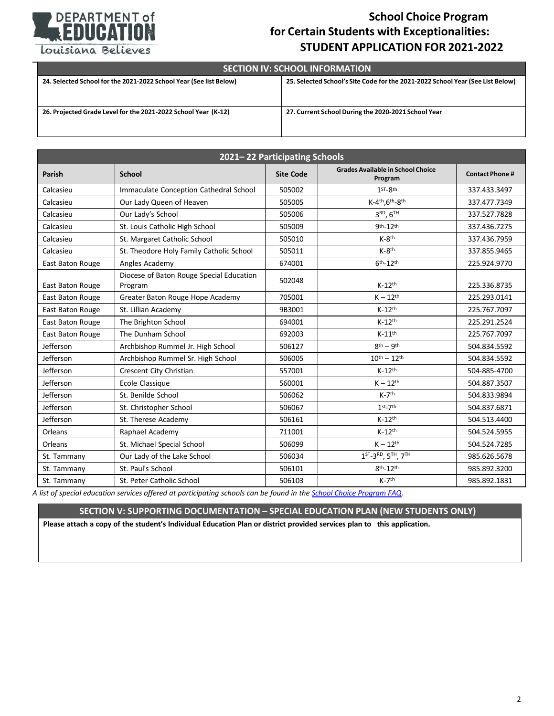

## **School Choice Program for Certain Students with Exceptionalities: STUDENT APPLICATION FOR 2021-2022**

Louisiana Believes

# **SECTION IV: SCHOOL INFORMATION** 24. Selected School for the 2021-2022 School Year (See list Below) 25. Selected School's Site Code for the 2021-2022 School Year (See List Below) 26. Projected Grade Level for the 2021-2022 School Year (K-12) 27. Current School During the 2020-2021 School Year

| 2021-22 Participating Schools |                                                     |                  |                                                                      |                       |  |  |  |
|-------------------------------|-----------------------------------------------------|------------------|----------------------------------------------------------------------|-----------------------|--|--|--|
| <b>Parish</b>                 | <b>School</b>                                       | <b>Site Code</b> | <b>Grades Available in School Choice</b><br>Program                  | <b>Contact Phone#</b> |  |  |  |
| Calcasieu                     | Immaculate Conception Cathedral School              | 505002           | 1ST_Rth                                                              | 337.433.3497          |  |  |  |
| Calcasieu                     | Our Lady Queen of Heaven                            | 505005           | K-4th, 6th-8th                                                       | 337.477.7349          |  |  |  |
| Calcasieu                     | Our Lady's School                                   | 505006           | 3 <sup>RD</sup> , 6 <sup>TH</sup>                                    | 337.527.7828          |  |  |  |
| Calcasieu                     | St. Louis Catholic High School                      | 505009           | 9th-12th                                                             | 337.436.7275          |  |  |  |
| Calcasieu                     | St. Margaret Catholic School                        | 505010           | $K-8$ <sup>th</sup>                                                  | 337.436.7959          |  |  |  |
| Calcasieu                     | St. Theodore Holy Family Catholic School            | 505011           | $K-8$ <sup>th</sup>                                                  | 337.855.9465          |  |  |  |
| East Baton Rouge              | Angles Academy                                      | 674001           | $6th-12$ th                                                          | 225.924.9770          |  |  |  |
| East Baton Rouge              | Diocese of Baton Rouge Special Education<br>Program | 502048           | $K-12th$                                                             | 225.336.8735          |  |  |  |
| East Baton Rouge              | Greater Baton Rouge Hope Academy                    | 705001           | $K - 12^{th}$                                                        | 225.293.0141          |  |  |  |
| East Baton Rouge              | St. Lillian Academy                                 | 9B3001           | $K-12$ <sup>th</sup>                                                 | 225.767.7097          |  |  |  |
| East Baton Rouge              | The Brighton School                                 | 694001           | $K-12^{th}$                                                          | 225.291.2524          |  |  |  |
| East Baton Rouge              | The Dunham School                                   | 692003           | $K-11$ <sup>th</sup>                                                 | 225.767.7097          |  |  |  |
| Jefferson                     | Archbishop Rummel Jr. High School                   | 506127           | $8th - 9th$                                                          | 504.834.5592          |  |  |  |
| Jefferson                     | Archbishop Rummel Sr. High School                   | 506005           | $10^{th} - 12^{th}$                                                  | 504.834.5592          |  |  |  |
| Jefferson                     | Crescent City Christian                             | 557001           | $K-12$ <sup>th</sup>                                                 | 504-885-4700          |  |  |  |
| Jefferson                     | Ecole Classique                                     | 560001           | $K - 12$ <sup>th</sup>                                               | 504.887.3507          |  |  |  |
| Jefferson                     | St. Benilde School                                  | 506062           | $K-7$ <sup>th</sup>                                                  | 504.833.9894          |  |  |  |
| Jefferson                     | St. Christopher School                              | 506067           | $1st-7th$                                                            | 504.837.6871          |  |  |  |
| Jefferson                     | St. Therese Academy                                 | 506161           | $K-12th$                                                             | 504.513.4400          |  |  |  |
| Orleans                       | Raphael Academy                                     | 711001           | $K-12$ <sup>th</sup>                                                 | 504.524.5955          |  |  |  |
| Orleans                       | St. Michael Special School                          | 506099           | $K - 12$ <sup>th</sup>                                               | 504.524.7285          |  |  |  |
| St. Tammany                   | Our Lady of the Lake School                         | 506034           | 1 <sup>ST</sup> -3 <sup>RD</sup> , 5 <sup>TH</sup> , 7 <sup>TH</sup> | 985.626.5678          |  |  |  |
| St. Tammany                   | St. Paul's School                                   | 506101           | 8th-12th                                                             | 985.892.3200          |  |  |  |
| St. Tammany                   | St. Peter Catholic School                           | 506103           | $K-7th$                                                              | 985.892.1831          |  |  |  |

A list of special education services offered at participating schools can be found in the School Choice Program FAQ.

### **SECTION V: SUPPORTING DOCUMENTATION – SPECIAL EDUCATION PLAN (NEW STUDENTS ONLY)**

Please attach a copy of the student's Individual Education Plan or district provided services plan to this application.